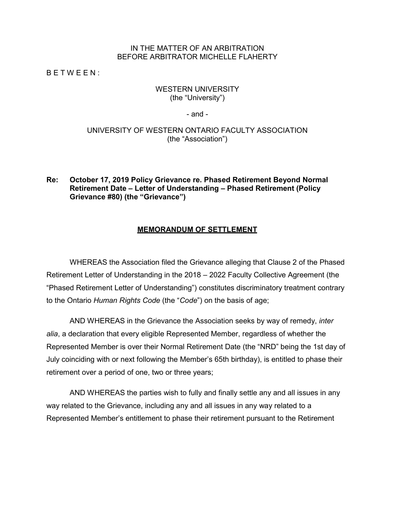### IN THE MATTER OF AN ARBITRATION BEFORE ARBITRATOR MICHELLE FLAHERTY

B E T W E E N :

### WESTERN UNIVERSITY (the "University")

- and -

### UNIVERSITY OF WESTERN ONTARIO FACULTY ASSOCIATION (the "Association")

## **Re: October 17, 2019 Policy Grievance re. Phased Retirement Beyond Normal Retirement Date – Letter of Understanding – Phased Retirement (Policy Grievance #80) (the "Grievance")**

### **MEMORANDUM OF SETTLEMENT**

WHEREAS the Association filed the Grievance alleging that Clause 2 of the Phased Retirement Letter of Understanding in the 2018 – 2022 Faculty Collective Agreement (the "Phased Retirement Letter of Understanding") constitutes discriminatory treatment contrary to the Ontario *Human Rights Code* (the "*Code*") on the basis of age;

AND WHEREAS in the Grievance the Association seeks by way of remedy, *inter alia*, a declaration that every eligible Represented Member, regardless of whether the Represented Member is over their Normal Retirement Date (the "NRD" being the 1st day of July coinciding with or next following the Member's 65th birthday), is entitled to phase their retirement over a period of one, two or three years;

AND WHEREAS the parties wish to fully and finally settle any and all issues in any way related to the Grievance, including any and all issues in any way related to a Represented Member's entitlement to phase their retirement pursuant to the Retirement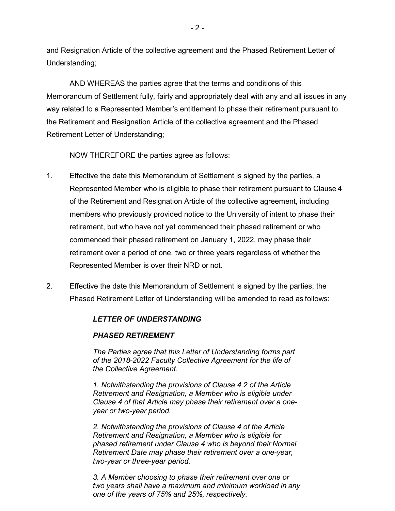and Resignation Article of the collective agreement and the Phased Retirement Letter of Understanding;

AND WHEREAS the parties agree that the terms and conditions of this Memorandum of Settlement fully, fairly and appropriately deal with any and all issues in any way related to a Represented Member's entitlement to phase their retirement pursuant to the Retirement and Resignation Article of the collective agreement and the Phased Retirement Letter of Understanding;

NOW THEREFORE the parties agree as follows:

- 1. Effective the date this Memorandum of Settlement is signed by the parties, a Represented Member who is eligible to phase their retirement pursuant to Clause 4 of the Retirement and Resignation Article of the collective agreement, including members who previously provided notice to the University of intent to phase their retirement, but who have not yet commenced their phased retirement or who commenced their phased retirement on January 1, 2022, may phase their retirement over a period of one, two or three years regardless of whether the Represented Member is over their NRD or not.
- 2. Effective the date this Memorandum of Settlement is signed by the parties, the Phased Retirement Letter of Understanding will be amended to read as follows:

# *LETTER OF UNDERSTANDING*

### *PHASED RETIREMENT*

*The Parties agree that this Letter of Understanding forms part of the 2018-2022 Faculty Collective Agreement for the life of the Collective Agreement.*

*1. Notwithstanding the provisions of Clause 4.2 of the Article Retirement and Resignation, a Member who is eligible under Clause 4 of that Article may phase their retirement over a oneyear or two-year period.*

*2. Notwithstanding the provisions of Clause 4 of the Article Retirement and Resignation, a Member who is eligible for phased retirement under Clause 4 who is beyond their Normal Retirement Date may phase their retirement over a one-year, two-year or three-year period.*

*3. A Member choosing to phase their retirement over one or two years shall have a maximum and minimum workload in any one of the years of 75% and 25%, respectively.*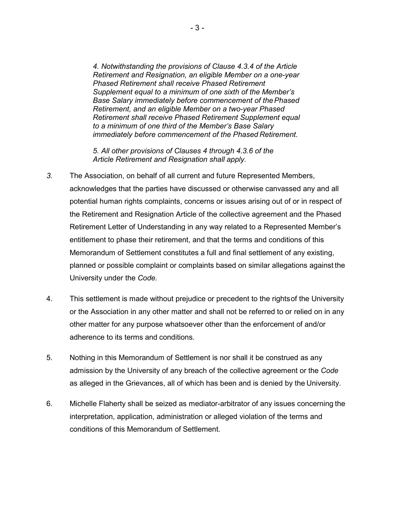*4. Notwithstanding the provisions of Clause 4.3.4 of the Article Retirement and Resignation, an eligible Member on a one-year Phased Retirement shall receive Phased Retirement Supplement equal to a minimum of one sixth of the Member's Base Salary immediately before commencement of thePhased Retirement, and an eligible Member on a two-year Phased Retirement shall receive Phased Retirement Supplement equal to a minimum of one third of the Member's Base Salary immediately before commencement of the Phased Retirement.*

*5. All other provisions of Clauses 4 through 4.3.6 of the Article Retirement and Resignation shall apply.*

- *3.* The Association, on behalf of all current and future Represented Members, acknowledges that the parties have discussed or otherwise canvassed any and all potential human rights complaints, concerns or issues arising out of or in respect of the Retirement and Resignation Article of the collective agreement and the Phased Retirement Letter of Understanding in any way related to a Represented Member's entitlement to phase their retirement, and that the terms and conditions of this Memorandum of Settlement constitutes a full and final settlement of any existing, planned or possible complaint or complaints based on similar allegations against the University under the *Code.*
- 4. This settlement is made without prejudice or precedent to the rightsof the University or the Association in any other matter and shall not be referred to or relied on in any other matter for any purpose whatsoever other than the enforcement of and/or adherence to its terms and conditions.
- 5. Nothing in this Memorandum of Settlement is nor shall it be construed as any admission by the University of any breach of the collective agreement or the *Code*  as alleged in the Grievances, all of which has been and is denied by the University.
- 6. Michelle Flaherty shall be seized as mediator-arbitrator of any issues concerning the interpretation, application, administration or alleged violation of the terms and conditions of this Memorandum of Settlement.